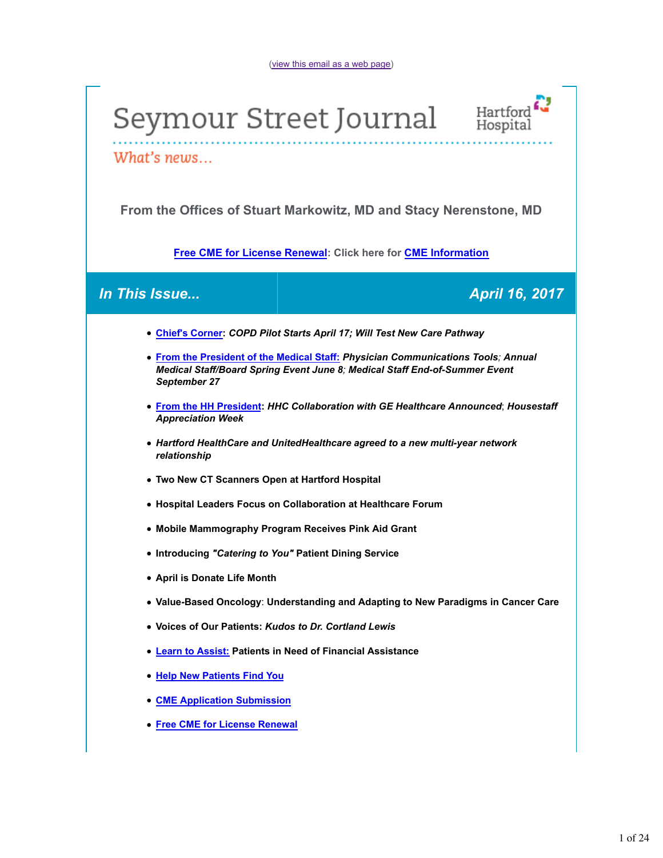



What's news...

**From the Offices of Stuart Markowitz, MD and Stacy Nerenstone, MD**

**Free CME for License Renewal: Click here for CME Information**

# *In This Issue... April 16, 2017*

- **Chief's Corner:** *COPD Pilot Starts April 17; Will Test New Care Pathway*
- **From the President of the Medical Staff:** *Physician Communications Tools; Annual Medical Staff/Board Spring Event June 8; Medical Staff End-of-Summer Event September 27*
- **From the HH President:** *HHC Collaboration with GE Healthcare Announced*; *Housestaff Appreciation Week*
- *Hartford HealthCare and UnitedHealthcare agreed to a new multi-year network relationship*
- **Two New CT Scanners Open at Hartford Hospital**
- **Hospital Leaders Focus on Collaboration at Healthcare Forum**
- **Mobile Mammography Program Receives Pink Aid Grant**
- **Introducing** *"Catering to You"* **Patient Dining Service**
- **April is Donate Life Month**
- **Value-Based Oncology**: **Understanding and Adapting to New Paradigms in Cancer Care**
- **Voices of Our Patients:** *Kudos to Dr. Cortland Lewis*
- **Learn to Assist: Patients in Need of Financial Assistance**
- **Help New Patients Find You**
- **CME Application Submission**
- **Free CME for License Renewal**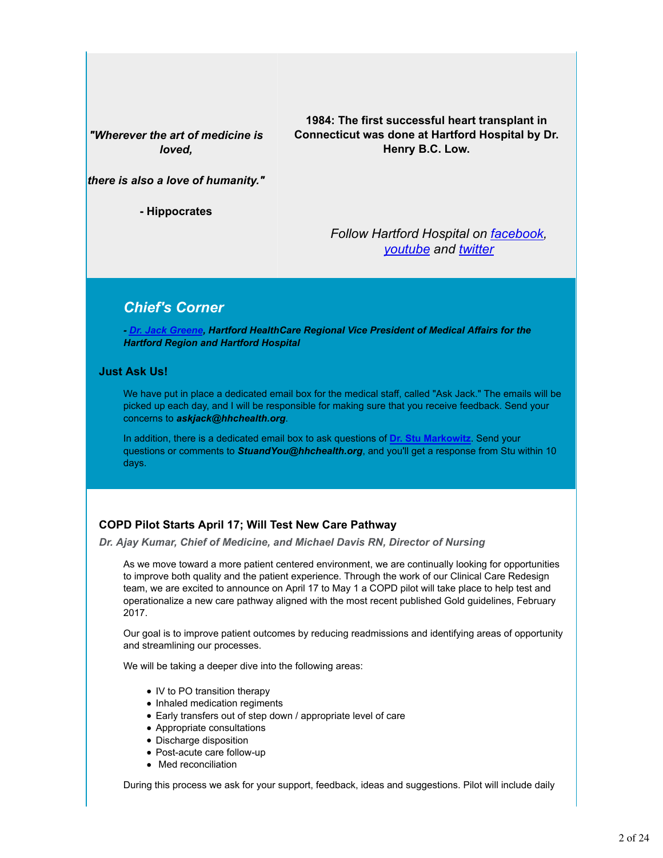*"Wherever the art of medicine is loved,*

**1984: The first successful heart transplant in Connecticut was done at Hartford Hospital by Dr. Henry B.C. Low.**

*there is also a love of humanity."*

**- Hippocrates**

*Follow Hartford Hospital on facebook, youtube and twitter*

# *Chief's Corner*

*- Dr. Jack Greene, Hartford HealthCare Regional Vice President of Medical Affairs for the Hartford Region and Hartford Hospital*

### **Just Ask Us!**

We have put in place a dedicated email box for the medical staff, called "Ask Jack." The emails will be picked up each day, and I will be responsible for making sure that you receive feedback. Send your concerns to *askjack@hhchealth.org*.

In addition, there is a dedicated email box to ask questions of **Dr. Stu Markowitz**. Send your questions or comments to *StuandYou@hhchealth.org*, and you'll get a response from Stu within 10 days.

### **COPD Pilot Starts April 17; Will Test New Care Pathway**

*Dr. Ajay Kumar, Chief of Medicine, and Michael Davis RN, Director of Nursing*

As we move toward a more patient centered environment, we are continually looking for opportunities to improve both quality and the patient experience. Through the work of our Clinical Care Redesign team, we are excited to announce on April 17 to May 1 a COPD pilot will take place to help test and operationalize a new care pathway aligned with the most recent published Gold guidelines, February 2017.

Our goal is to improve patient outcomes by reducing readmissions and identifying areas of opportunity and streamlining our processes.

We will be taking a deeper dive into the following areas:

- IV to PO transition therapy
- Inhaled medication regiments
- Early transfers out of step down / appropriate level of care
- Appropriate consultations
- Discharge disposition
- Post-acute care follow-up
- Med reconciliation

During this process we ask for your support, feedback, ideas and suggestions. Pilot will include daily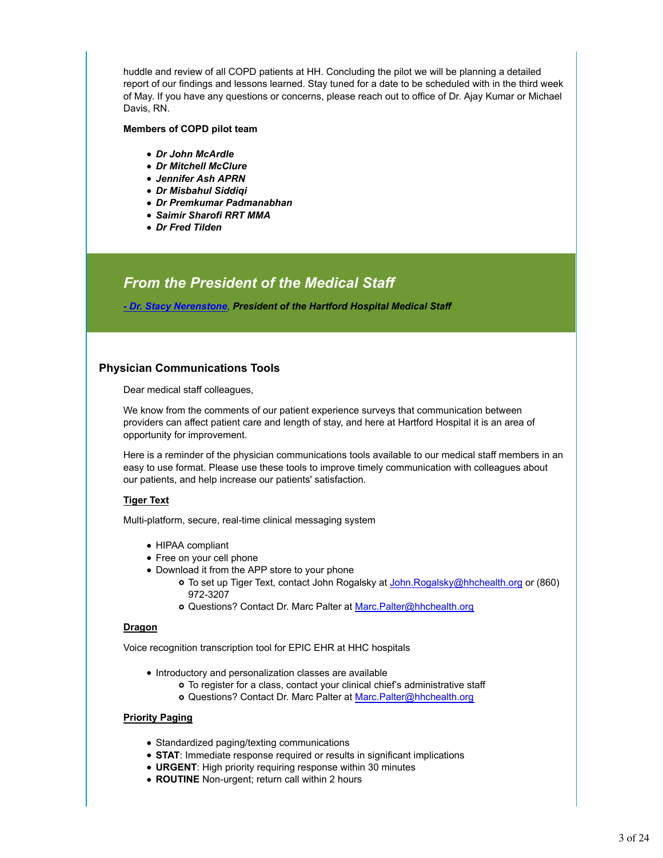huddle and review of all COPD patients at HH. Concluding the pilot we will be planning a detailed report of our findings and lessons learned. Stay tuned for a date to be scheduled with in the third week of May. If you have any questions or concerns, please reach out to office of Dr. Ajay Kumar or Michael Davis, RN.

#### **Members of COPD pilot team**

- *Dr John McArdle*
- *Dr Mitchell McClure*
- *Jennifer Ash APRN*
- *Dr Misbahul Siddiqi*
- *Dr Premkumar Padmanabhan*
- *Saimir Sharofi RRT MMA*
- *Dr Fred Tilden*

# *From the President of the Medical Staff*

*- Dr. Stacy Nerenstone*, *President of the Hartford Hospital Medical Staff*

### **Physician Communications Tools**

Dear medical staff colleagues,

We know from the comments of our patient experience surveys that communication between providers can affect patient care and length of stay, and here at Hartford Hospital it is an area of opportunity for improvement.

Here is a reminder of the physician communications tools available to our medical staff members in an easy to use format. Please use these tools to improve timely communication with colleagues about our patients, and help increase our patients' satisfaction.

### **Tiger Text**

Multi-platform, secure, real-time clinical messaging system

- HIPAA compliant
- Free on your cell phone
- Download it from the APP store to your phone
	- o To set up Tiger Text, contact John Rogalsky at John.Rogalsky@hhchealth.org or (860) 972-3207
	- Questions? Contact Dr. Marc Palter at Marc.Palter@hhchealth.org

### **Dragon**

Voice recognition transcription tool for EPIC EHR at HHC hospitals

- Introductory and personalization classes are available
	- To register for a class, contact your clinical chief's administrative staff
	- o Questions? Contact Dr. Marc Palter at Marc.Palter@hhchealth.org

### **Priority Paging**

- Standardized paging/texting communications
- **STAT**: Immediate response required or results in significant implications
- **URGENT**: High priority requiring response within 30 minutes
- **ROUTINE** Non-urgent; return call within 2 hours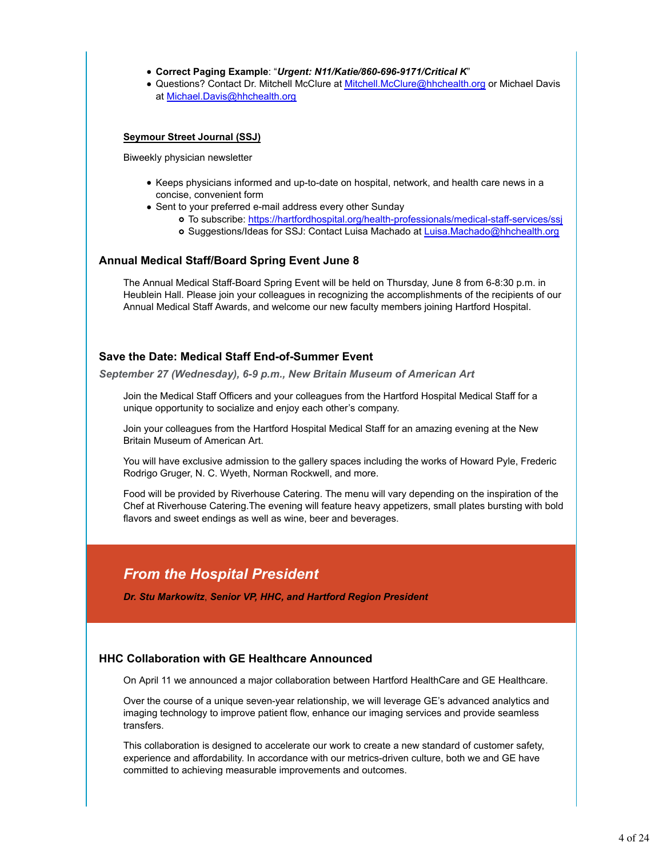### **Correct Paging Example**: "*Urgent: N11/Katie/860-696-9171/Critical K*"

**.** Questions? Contact Dr. Mitchell McClure at **Mitchell.McClure@hhchealth.org or Michael Davis** at Michael.Davis@hhchealth.org

### **Seymour Street Journal (SSJ)**

Biweekly physician newsletter

- Keeps physicians informed and up-to-date on hospital, network, and health care news in a concise, convenient form
- Sent to your preferred e-mail address every other Sunday
	- To subscribe: https://hartfordhospital.org/health-professionals/medical-staff-services/ssj
	- o Suggestions/Ideas for SSJ: Contact Luisa Machado at Luisa.Machado@hhchealth.org

### **Annual Medical Staff/Board Spring Event June 8**

The Annual Medical Staff-Board Spring Event will be held on Thursday, June 8 from 6-8:30 p.m. in Heublein Hall. Please join your colleagues in recognizing the accomplishments of the recipients of our Annual Medical Staff Awards, and welcome our new faculty members joining Hartford Hospital.

### **Save the Date: Medical Staff End-of-Summer Event**

*September 27 (Wednesday), 6-9 p.m., New Britain Museum of American Art*

Join the Medical Staff Officers and your colleagues from the Hartford Hospital Medical Staff for a unique opportunity to socialize and enjoy each other's company.

Join your colleagues from the Hartford Hospital Medical Staff for an amazing evening at the New Britain Museum of American Art.

You will have exclusive admission to the gallery spaces including the works of Howard Pyle, Frederic Rodrigo Gruger, N. C. Wyeth, Norman Rockwell, and more.

Food will be provided by Riverhouse Catering. The menu will vary depending on the inspiration of the Chef at Riverhouse Catering.The evening will feature heavy appetizers, small plates bursting with bold flavors and sweet endings as well as wine, beer and beverages.

# *From the Hospital President*

*Dr. Stu Markowitz*, *Senior VP, HHC, and Hartford Region President*

### **HHC Collaboration with GE Healthcare Announced**

On April 11 we announced a major collaboration between Hartford HealthCare and GE Healthcare.

Over the course of a unique seven-year relationship, we will leverage GE's advanced analytics and imaging technology to improve patient flow, enhance our imaging services and provide seamless transfers.

This collaboration is designed to accelerate our work to create a new standard of customer safety, experience and affordability. In accordance with our metrics-driven culture, both we and GE have committed to achieving measurable improvements and outcomes.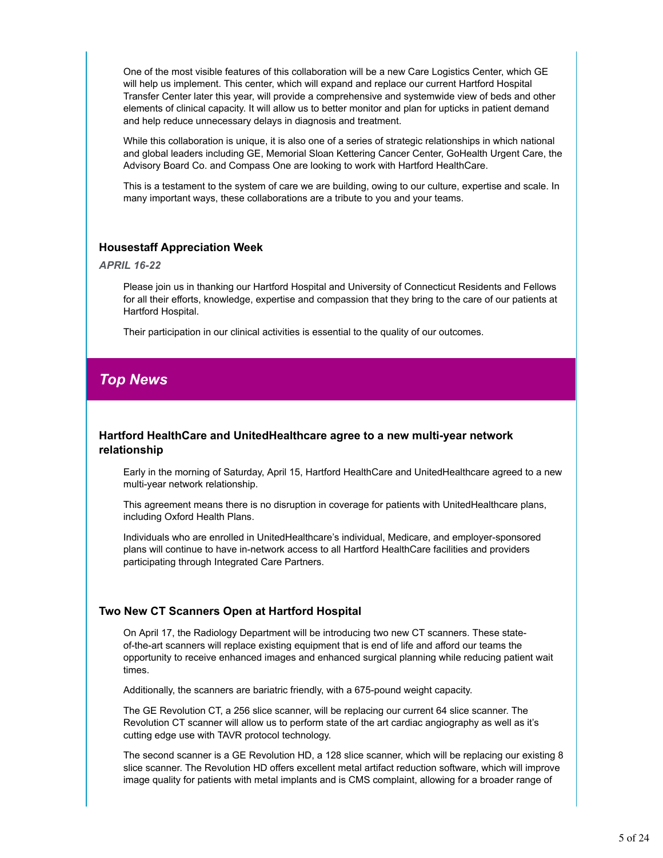One of the most visible features of this collaboration will be a new Care Logistics Center, which GE will help us implement. This center, which will expand and replace our current Hartford Hospital Transfer Center later this year, will provide a comprehensive and systemwide view of beds and other elements of clinical capacity. It will allow us to better monitor and plan for upticks in patient demand and help reduce unnecessary delays in diagnosis and treatment.

While this collaboration is unique, it is also one of a series of strategic relationships in which national and global leaders including GE, Memorial Sloan Kettering Cancer Center, GoHealth Urgent Care, the Advisory Board Co. and Compass One are looking to work with Hartford HealthCare.

This is a testament to the system of care we are building, owing to our culture, expertise and scale. In many important ways, these collaborations are a tribute to you and your teams.

### **Housestaff Appreciation Week**

#### *APRIL 16-22*

Please join us in thanking our Hartford Hospital and University of Connecticut Residents and Fellows for all their efforts, knowledge, expertise and compassion that they bring to the care of our patients at Hartford Hospital.

Their participation in our clinical activities is essential to the quality of our outcomes.

# *Top News*

### **Hartford HealthCare and UnitedHealthcare agree to a new multi-year network relationship**

Early in the morning of Saturday, April 15, Hartford HealthCare and UnitedHealthcare agreed to a new multi-year network relationship.

This agreement means there is no disruption in coverage for patients with UnitedHealthcare plans, including Oxford Health Plans.

Individuals who are enrolled in UnitedHealthcare's individual, Medicare, and employer-sponsored plans will continue to have in-network access to all Hartford HealthCare facilities and providers participating through Integrated Care Partners.

# **Two New CT Scanners Open at Hartford Hospital**

On April 17, the Radiology Department will be introducing two new CT scanners. These stateof-the-art scanners will replace existing equipment that is end of life and afford our teams the opportunity to receive enhanced images and enhanced surgical planning while reducing patient wait times.

Additionally, the scanners are bariatric friendly, with a 675-pound weight capacity.

The GE Revolution CT, a 256 slice scanner, will be replacing our current 64 slice scanner. The Revolution CT scanner will allow us to perform state of the art cardiac angiography as well as it's cutting edge use with TAVR protocol technology.

The second scanner is a GE Revolution HD, a 128 slice scanner, which will be replacing our existing 8 slice scanner. The Revolution HD offers excellent metal artifact reduction software, which will improve image quality for patients with metal implants and is CMS complaint, allowing for a broader range of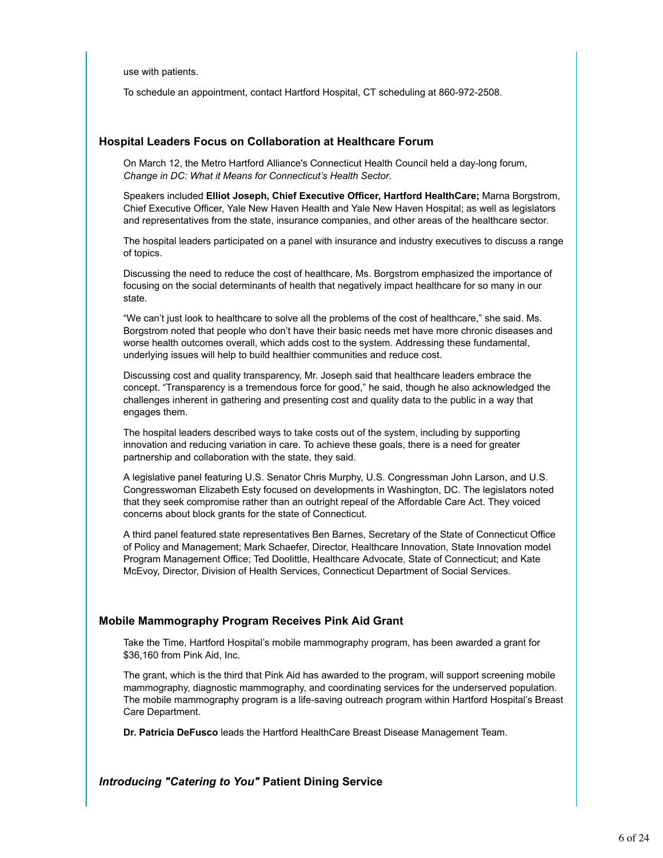use with patients.

To schedule an appointment, contact Hartford Hospital, CT scheduling at 860-972-2508.

### **Hospital Leaders Focus on Collaboration at Healthcare Forum**

On March 12, the Metro Hartford Alliance's Connecticut Health Council held a day-long forum, *Change in DC: What it Means for Connecticut's Health Sector*.

Speakers included **Elliot Joseph, Chief Executive Officer, Hartford HealthCare;** Marna Borgstrom, Chief Executive Officer, Yale New Haven Health and Yale New Haven Hospital; as well as legislators and representatives from the state, insurance companies, and other areas of the healthcare sector.

The hospital leaders participated on a panel with insurance and industry executives to discuss a range of topics.

Discussing the need to reduce the cost of healthcare, Ms. Borgstrom emphasized the importance of focusing on the social determinants of health that negatively impact healthcare for so many in our state.

"We can't just look to healthcare to solve all the problems of the cost of healthcare," she said. Ms. Borgstrom noted that people who don't have their basic needs met have more chronic diseases and worse health outcomes overall, which adds cost to the system. Addressing these fundamental, underlying issues will help to build healthier communities and reduce cost.

Discussing cost and quality transparency, Mr. Joseph said that healthcare leaders embrace the concept. "Transparency is a tremendous force for good," he said, though he also acknowledged the challenges inherent in gathering and presenting cost and quality data to the public in a way that engages them.

The hospital leaders described ways to take costs out of the system, including by supporting innovation and reducing variation in care. To achieve these goals, there is a need for greater partnership and collaboration with the state, they said.

A legislative panel featuring U.S. Senator Chris Murphy, U.S. Congressman John Larson, and U.S. Congresswoman Elizabeth Esty focused on developments in Washington, DC. The legislators noted that they seek compromise rather than an outright repeal of the Affordable Care Act. They voiced concerns about block grants for the state of Connecticut.

A third panel featured state representatives Ben Barnes, Secretary of the State of Connecticut Office of Policy and Management; Mark Schaefer, Director, Healthcare Innovation, State Innovation model Program Management Office; Ted Doolittle, Healthcare Advocate, State of Connecticut; and Kate McEvoy, Director, Division of Health Services, Connecticut Department of Social Services.

### **Mobile Mammography Program Receives Pink Aid Grant**

Take the Time, Hartford Hospital's mobile mammography program, has been awarded a grant for \$36,160 from Pink Aid, Inc.

The grant, which is the third that Pink Aid has awarded to the program, will support screening mobile mammography, diagnostic mammography, and coordinating services for the underserved population. The mobile mammography program is a life-saving outreach program within Hartford Hospital's Breast Care Department.

**Dr. Patricia DeFusco** leads the Hartford HealthCare Breast Disease Management Team.

*Introducing "Catering to You"* **Patient Dining Service**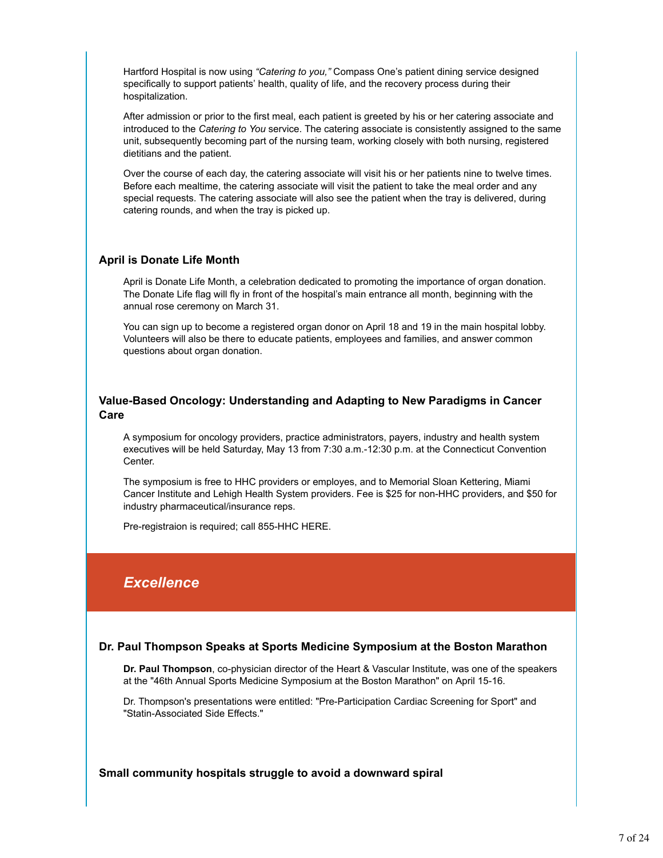Hartford Hospital is now using *"Catering to you,"* Compass One's patient dining service designed specifically to support patients' health, quality of life, and the recovery process during their hospitalization.

After admission or prior to the first meal, each patient is greeted by his or her catering associate and introduced to the *Catering to You* service. The catering associate is consistently assigned to the same unit, subsequently becoming part of the nursing team, working closely with both nursing, registered dietitians and the patient.

Over the course of each day, the catering associate will visit his or her patients nine to twelve times. Before each mealtime, the catering associate will visit the patient to take the meal order and any special requests. The catering associate will also see the patient when the tray is delivered, during catering rounds, and when the tray is picked up.

### **April is Donate Life Month**

April is Donate Life Month, a celebration dedicated to promoting the importance of organ donation. The Donate Life flag will fly in front of the hospital's main entrance all month, beginning with the annual rose ceremony on March 31.

You can sign up to become a registered organ donor on April 18 and 19 in the main hospital lobby. Volunteers will also be there to educate patients, employees and families, and answer common questions about organ donation.

### **Value-Based Oncology: Understanding and Adapting to New Paradigms in Cancer Care**

A symposium for oncology providers, practice administrators, payers, industry and health system executives will be held Saturday, May 13 from 7:30 a.m.-12:30 p.m. at the Connecticut Convention Center.

The symposium is free to HHC providers or employes, and to Memorial Sloan Kettering, Miami Cancer Institute and Lehigh Health System providers. Fee is \$25 for non-HHC providers, and \$50 for industry pharmaceutical/insurance reps.

Pre-registraion is required; call 855-HHC HERE.

# *Excellence*

# **Dr. Paul Thompson Speaks at Sports Medicine Symposium at the Boston Marathon**

**Dr. Paul Thompson**, co-physician director of the Heart & Vascular Institute, was one of the speakers at the "46th Annual Sports Medicine Symposium at the Boston Marathon" on April 15-16.

Dr. Thompson's presentations were entitled: "Pre-Participation Cardiac Screening for Sport" and "Statin-Associated Side Effects."

**Small community hospitals struggle to avoid a downward spiral**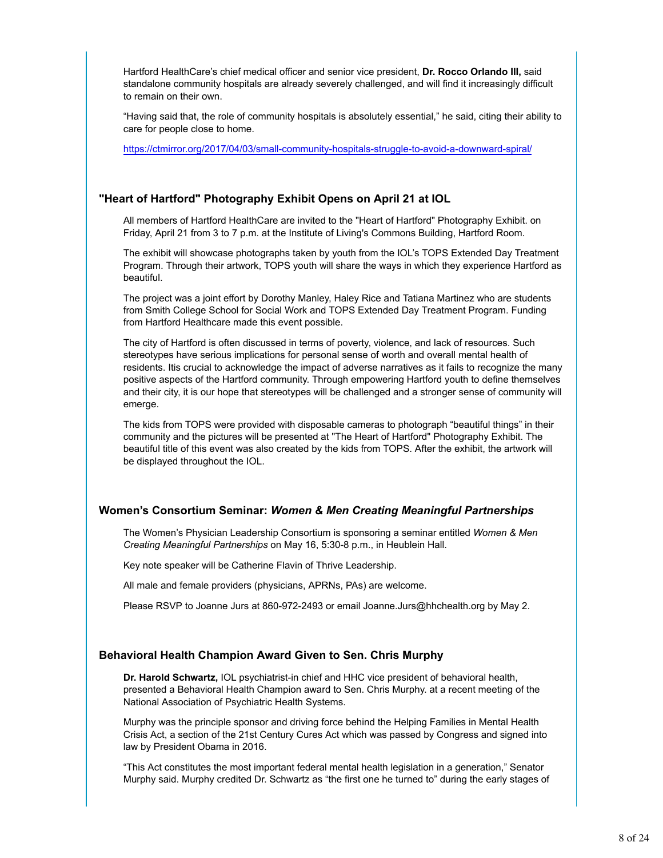Hartford HealthCare's chief medical officer and senior vice president, **Dr. Rocco Orlando III,** said standalone community hospitals are already severely challenged, and will find it increasingly difficult to remain on their own.

"Having said that, the role of community hospitals is absolutely essential," he said, citing their ability to care for people close to home.

https://ctmirror.org/2017/04/03/small-community-hospitals-struggle-to-avoid-a-downward-spiral/

### **"Heart of Hartford" Photography Exhibit Opens on April 21 at IOL**

All members of Hartford HealthCare are invited to the "Heart of Hartford" Photography Exhibit. on Friday, April 21 from 3 to 7 p.m. at the Institute of Living's Commons Building, Hartford Room.

The exhibit will showcase photographs taken by youth from the IOL's TOPS Extended Day Treatment Program. Through their artwork, TOPS youth will share the ways in which they experience Hartford as beautiful.

The project was a joint effort by Dorothy Manley, Haley Rice and Tatiana Martinez who are students from Smith College School for Social Work and TOPS Extended Day Treatment Program. Funding from Hartford Healthcare made this event possible.

The city of Hartford is often discussed in terms of poverty, violence, and lack of resources. Such stereotypes have serious implications for personal sense of worth and overall mental health of residents. Itis crucial to acknowledge the impact of adverse narratives as it fails to recognize the many positive aspects of the Hartford community. Through empowering Hartford youth to define themselves and their city, it is our hope that stereotypes will be challenged and a stronger sense of community will emerge.

The kids from TOPS were provided with disposable cameras to photograph "beautiful things" in their community and the pictures will be presented at "The Heart of Hartford" Photography Exhibit. The beautiful title of this event was also created by the kids from TOPS. After the exhibit, the artwork will be displayed throughout the IOL.

### **Women's Consortium Seminar:** *Women & Men Creating Meaningful Partnerships*

The Women's Physician Leadership Consortium is sponsoring a seminar entitled *Women & Men Creating Meaningful Partnerships* on May 16, 5:30-8 p.m., in Heublein Hall.

Key note speaker will be Catherine Flavin of Thrive Leadership.

All male and female providers (physicians, APRNs, PAs) are welcome.

Please RSVP to Joanne Jurs at 860-972-2493 or email Joanne.Jurs@hhchealth.org by May 2.

### **Behavioral Health Champion Award Given to Sen. Chris Murphy**

**Dr. Harold Schwartz,** IOL psychiatrist-in chief and HHC vice president of behavioral health, presented a Behavioral Health Champion award to Sen. Chris Murphy. at a recent meeting of the National Association of Psychiatric Health Systems.

Murphy was the principle sponsor and driving force behind the Helping Families in Mental Health Crisis Act, a section of the 21st Century Cures Act which was passed by Congress and signed into law by President Obama in 2016.

"This Act constitutes the most important federal mental health legislation in a generation," Senator Murphy said. Murphy credited Dr. Schwartz as "the first one he turned to" during the early stages of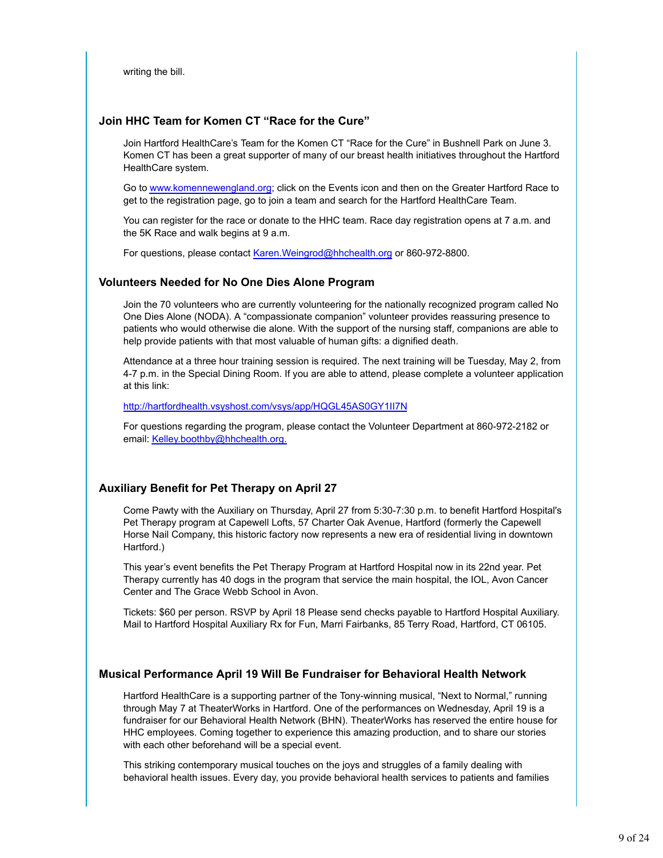writing the bill.

### **Join HHC Team for Komen CT "Race for the Cure"**

Join Hartford HealthCare's Team for the Komen CT "Race for the Cure" in Bushnell Park on June 3. Komen CT has been a great supporter of many of our breast health initiatives throughout the Hartford HealthCare system.

Go to www.komennewengland.org; click on the Events icon and then on the Greater Hartford Race to get to the registration page, go to join a team and search for the Hartford HealthCare Team.

You can register for the race or donate to the HHC team. Race day registration opens at 7 a.m. and the 5K Race and walk begins at 9 a.m.

For questions, please contact Karen. Weingrod@hhchealth.org or 860-972-8800.

### **Volunteers Needed for No One Dies Alone Program**

Join the 70 volunteers who are currently volunteering for the nationally recognized program called No One Dies Alone (NODA). A "compassionate companion" volunteer provides reassuring presence to patients who would otherwise die alone. With the support of the nursing staff, companions are able to help provide patients with that most valuable of human gifts: a dignified death.

Attendance at a three hour training session is required. The next training will be Tuesday, May 2, from 4-7 p.m. in the Special Dining Room. If you are able to attend, please complete a volunteer application at this link:

http://hartfordhealth.vsyshost.com/vsys/app/HQGL45AS0GY1II7N

For questions regarding the program, please contact the Volunteer Department at 860-972-2182 or email: Kelley.boothby@hhchealth.org.

# **Auxiliary Benefit for Pet Therapy on April 27**

Come Pawty with the Auxiliary on Thursday, April 27 from 5:30-7:30 p.m. to benefit Hartford Hospital's Pet Therapy program at Capewell Lofts, 57 Charter Oak Avenue, Hartford (formerly the Capewell Horse Nail Company, this historic factory now represents a new era of residential living in downtown Hartford.)

This year's event benefits the Pet Therapy Program at Hartford Hospital now in its 22nd year. Pet Therapy currently has 40 dogs in the program that service the main hospital, the IOL, Avon Cancer Center and The Grace Webb School in Avon.

Tickets: \$60 per person. RSVP by April 18 Please send checks payable to Hartford Hospital Auxiliary. Mail to Hartford Hospital Auxiliary Rx for Fun, Marri Fairbanks, 85 Terry Road, Hartford, CT 06105.

# **Musical Performance April 19 Will Be Fundraiser for Behavioral Health Network**

Hartford HealthCare is a supporting partner of the Tony-winning musical, "Next to Normal," running through May 7 at TheaterWorks in Hartford. One of the performances on Wednesday, April 19 is a fundraiser for our Behavioral Health Network (BHN). TheaterWorks has reserved the entire house for HHC employees. Coming together to experience this amazing production, and to share our stories with each other beforehand will be a special event.

This striking contemporary musical touches on the joys and struggles of a family dealing with behavioral health issues. Every day, you provide behavioral health services to patients and families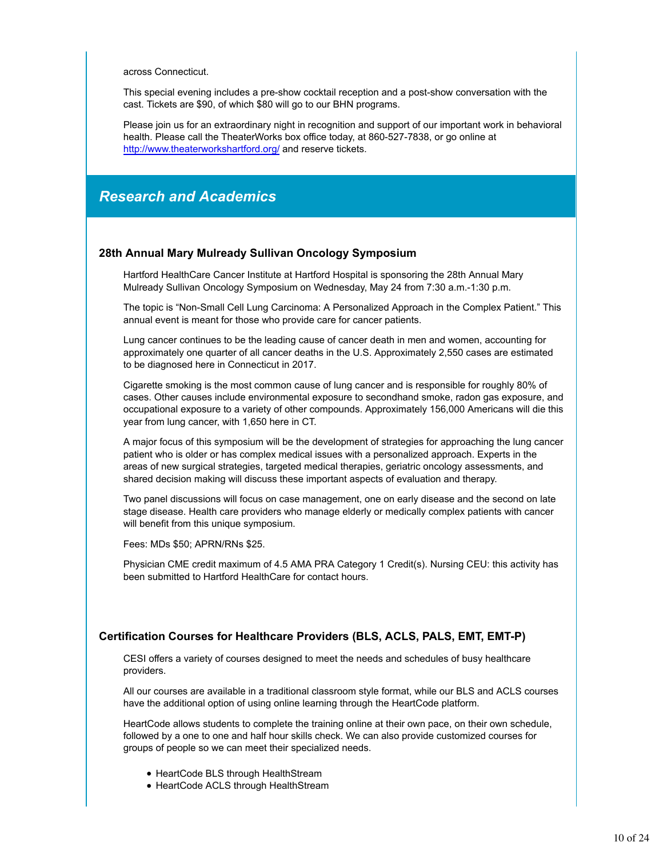across Connecticut.

This special evening includes a pre-show cocktail reception and a post-show conversation with the cast. Tickets are \$90, of which \$80 will go to our BHN programs.

Please join us for an extraordinary night in recognition and support of our important work in behavioral health. Please call the TheaterWorks box office today, at 860-527-7838, or go online at http://www.theaterworkshartford.org/ and reserve tickets.

# *Research and Academics*

### **28th Annual Mary Mulready Sullivan Oncology Symposium**

Hartford HealthCare Cancer Institute at Hartford Hospital is sponsoring the 28th Annual Mary Mulready Sullivan Oncology Symposium on Wednesday, May 24 from 7:30 a.m.-1:30 p.m.

The topic is "Non-Small Cell Lung Carcinoma: A Personalized Approach in the Complex Patient." This annual event is meant for those who provide care for cancer patients.

Lung cancer continues to be the leading cause of cancer death in men and women, accounting for approximately one quarter of all cancer deaths in the U.S. Approximately 2,550 cases are estimated to be diagnosed here in Connecticut in 2017.

Cigarette smoking is the most common cause of lung cancer and is responsible for roughly 80% of cases. Other causes include environmental exposure to secondhand smoke, radon gas exposure, and occupational exposure to a variety of other compounds. Approximately 156,000 Americans will die this year from lung cancer, with 1,650 here in CT.

A major focus of this symposium will be the development of strategies for approaching the lung cancer patient who is older or has complex medical issues with a personalized approach. Experts in the areas of new surgical strategies, targeted medical therapies, geriatric oncology assessments, and shared decision making will discuss these important aspects of evaluation and therapy.

Two panel discussions will focus on case management, one on early disease and the second on late stage disease. Health care providers who manage elderly or medically complex patients with cancer will benefit from this unique symposium.

Fees: MDs \$50; APRN/RNs \$25.

Physician CME credit maximum of 4.5 AMA PRA Category 1 Credit(s). Nursing CEU: this activity has been submitted to Hartford HealthCare for contact hours.

### **Certification Courses for Healthcare Providers (BLS, ACLS, PALS, EMT, EMT-P)**

CESI offers a variety of courses designed to meet the needs and schedules of busy healthcare providers.

All our courses are available in a traditional classroom style format, while our BLS and ACLS courses have the additional option of using online learning through the HeartCode platform.

HeartCode allows students to complete the training online at their own pace, on their own schedule, followed by a one to one and half hour skills check. We can also provide customized courses for groups of people so we can meet their specialized needs.

- HeartCode BLS through HealthStream
- HeartCode ACLS through HealthStream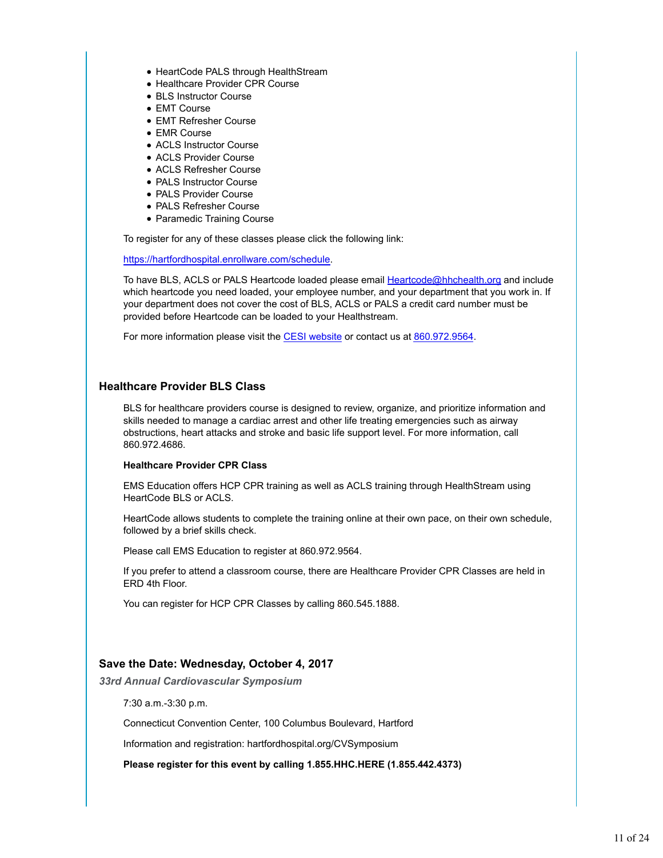- HeartCode PALS through HealthStream
- Healthcare Provider CPR Course
- BLS Instructor Course
- EMT Course
- EMT Refresher Course
- EMR Course
- ACLS Instructor Course
- ACLS Provider Course
- ACLS Refresher Course
- PALS Instructor Course
- PALS Provider Course
- PALS Refresher Course
- Paramedic Training Course

To register for any of these classes please click the following link:

https://hartfordhospital.enrollware.com/schedule.

To have BLS, ACLS or PALS Heartcode loaded please email **Heartcode@hhchealth.org** and include which heartcode you need loaded, your employee number, and your department that you work in. If your department does not cover the cost of BLS, ACLS or PALS a credit card number must be provided before Heartcode can be loaded to your Healthstream.

For more information please visit the CESI website or contact us at 860.972.9564.

### **Healthcare Provider BLS Class**

BLS for healthcare providers course is designed to review, organize, and prioritize information and skills needed to manage a cardiac arrest and other life treating emergencies such as airway obstructions, heart attacks and stroke and basic life support level. For more information, call 860.972.4686.

### **Healthcare Provider CPR Class**

EMS Education offers HCP CPR training as well as ACLS training through HealthStream using HeartCode BLS or ACLS.

HeartCode allows students to complete the training online at their own pace, on their own schedule, followed by a brief skills check.

Please call EMS Education to register at 860.972.9564.

If you prefer to attend a classroom course, there are Healthcare Provider CPR Classes are held in ERD 4th Floor.

You can register for HCP CPR Classes by calling 860.545.1888.

# **Save the Date: Wednesday, October 4, 2017**

*33rd Annual Cardiovascular Symposium*

7:30 a.m.-3:30 p.m.

Connecticut Convention Center, 100 Columbus Boulevard, Hartford

Information and registration: hartfordhospital.org/CVSymposium

**Please register for this event by calling 1.855.HHC.HERE (1.855.442.4373)**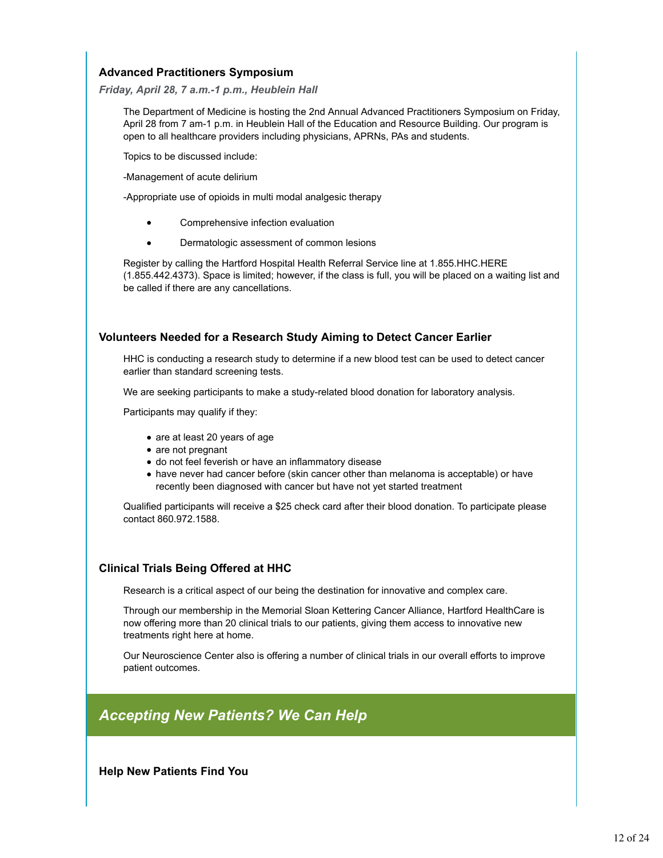# **Advanced Practitioners Symposium**

### *Friday, April 28, 7 a.m.-1 p.m., Heublein Hall*

The Department of Medicine is hosting the 2nd Annual Advanced Practitioners Symposium on Friday, April 28 from 7 am-1 p.m. in Heublein Hall of the Education and Resource Building. Our program is open to all healthcare providers including physicians, APRNs, PAs and students.

Topics to be discussed include:

-Management of acute delirium

-Appropriate use of opioids in multi modal analgesic therapy

- Comprehensive infection evaluation
- Dermatologic assessment of common lesions

Register by calling the Hartford Hospital Health Referral Service line at 1.855.HHC.HERE (1.855.442.4373). Space is limited; however, if the class is full, you will be placed on a waiting list and be called if there are any cancellations.

# **Volunteers Needed for a Research Study Aiming to Detect Cancer Earlier**

HHC is conducting a research study to determine if a new blood test can be used to detect cancer earlier than standard screening tests.

We are seeking participants to make a study-related blood donation for laboratory analysis.

Participants may qualify if they:

- are at least 20 years of age
- are not pregnant
- do not feel feverish or have an inflammatory disease
- have never had cancer before (skin cancer other than melanoma is acceptable) or have recently been diagnosed with cancer but have not yet started treatment

Qualified participants will receive a \$25 check card after their blood donation. To participate please contact 860.972.1588.

# **Clinical Trials Being Offered at HHC**

Research is a critical aspect of our being the destination for innovative and complex care.

Through our membership in the Memorial Sloan Kettering Cancer Alliance, Hartford HealthCare is now offering more than 20 clinical trials to our patients, giving them access to innovative new treatments right here at home.

Our Neuroscience Center also is offering a number of clinical trials in our overall efforts to improve patient outcomes.

# *Accepting New Patients? We Can Help*

**Help New Patients Find You**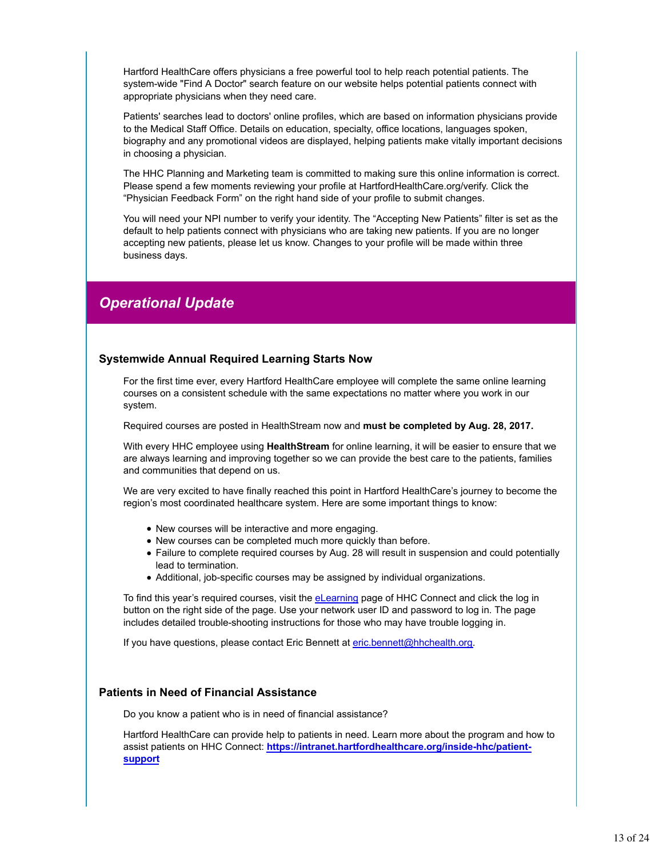Hartford HealthCare offers physicians a free powerful tool to help reach potential patients. The system-wide "Find A Doctor" search feature on our website helps potential patients connect with appropriate physicians when they need care.

Patients' searches lead to doctors' online profiles, which are based on information physicians provide to the Medical Staff Office. Details on education, specialty, office locations, languages spoken, biography and any promotional videos are displayed, helping patients make vitally important decisions in choosing a physician.

The HHC Planning and Marketing team is committed to making sure this online information is correct. Please spend a few moments reviewing your profile at HartfordHealthCare.org/verify. Click the "Physician Feedback Form" on the right hand side of your profile to submit changes.

You will need your NPI number to verify your identity. The "Accepting New Patients" filter is set as the default to help patients connect with physicians who are taking new patients. If you are no longer accepting new patients, please let us know. Changes to your profile will be made within three business days.

# *Operational Update*

### **Systemwide Annual Required Learning Starts Now**

For the first time ever, every Hartford HealthCare employee will complete the same online learning courses on a consistent schedule with the same expectations no matter where you work in our system.

Required courses are posted in HealthStream now and **must be completed by Aug. 28, 2017.**

With every HHC employee using **HealthStream** for online learning, it will be easier to ensure that we are always learning and improving together so we can provide the best care to the patients, families and communities that depend on us.

We are very excited to have finally reached this point in Hartford HealthCare's journey to become the region's most coordinated healthcare system. Here are some important things to know:

- New courses will be interactive and more engaging.
- New courses can be completed much more quickly than before.
- Failure to complete required courses by Aug. 28 will result in suspension and could potentially lead to termination.
- Additional, job-specific courses may be assigned by individual organizations.

To find this year's required courses, visit the eLearning page of HHC Connect and click the log in button on the right side of the page. Use your network user ID and password to log in. The page includes detailed trouble-shooting instructions for those who may have trouble logging in.

If you have questions, please contact Eric Bennett at eric.bennett@hhchealth.org.

### **Patients in Need of Financial Assistance**

Do you know a patient who is in need of financial assistance?

Hartford HealthCare can provide help to patients in need. Learn more about the program and how to assist patients on HHC Connect: **https://intranet.hartfordhealthcare.org/inside-hhc/patientsupport**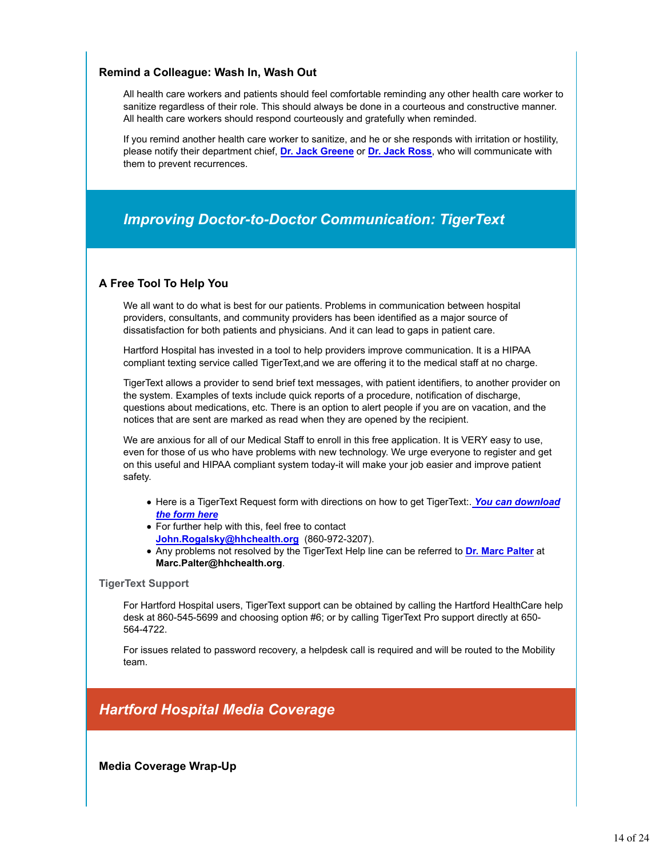# **Remind a Colleague: Wash In, Wash Out**

All health care workers and patients should feel comfortable reminding any other health care worker to sanitize regardless of their role. This should always be done in a courteous and constructive manner. All health care workers should respond courteously and gratefully when reminded.

If you remind another health care worker to sanitize, and he or she responds with irritation or hostility, please notify their department chief, **Dr. Jack Greene** or **Dr. Jack Ross**, who will communicate with them to prevent recurrences.

# *Improving Doctor-to-Doctor Communication: TigerText*

# **A Free Tool To Help You**

We all want to do what is best for our patients. Problems in communication between hospital providers, consultants, and community providers has been identified as a major source of dissatisfaction for both patients and physicians. And it can lead to gaps in patient care.

Hartford Hospital has invested in a tool to help providers improve communication. It is a HIPAA compliant texting service called TigerText,and we are offering it to the medical staff at no charge.

TigerText allows a provider to send brief text messages, with patient identifiers, to another provider on the system. Examples of texts include quick reports of a procedure, notification of discharge, questions about medications, etc. There is an option to alert people if you are on vacation, and the notices that are sent are marked as read when they are opened by the recipient.

We are anxious for all of our Medical Staff to enroll in this free application. It is VERY easy to use, even for those of us who have problems with new technology. We urge everyone to register and get on this useful and HIPAA compliant system today-it will make your job easier and improve patient safety.

- Here is a TigerText Request form with directions on how to get TigerText:. *You can download the form here*
- For further help with this, feel free to contact **John.Rogalsky@hhchealth.org** (860-972-3207).
- Any problems not resolved by the TigerText Help line can be referred to **Dr. Marc Palter** at **Marc.Palter@hhchealth.org**.

### **TigerText Support**

For Hartford Hospital users, TigerText support can be obtained by calling the Hartford HealthCare help desk at 860-545-5699 and choosing option #6; or by calling TigerText Pro support directly at 650- 564-4722.

For issues related to password recovery, a helpdesk call is required and will be routed to the Mobility team.

# *Hartford Hospital Media Coverage*

**Media Coverage Wrap-Up**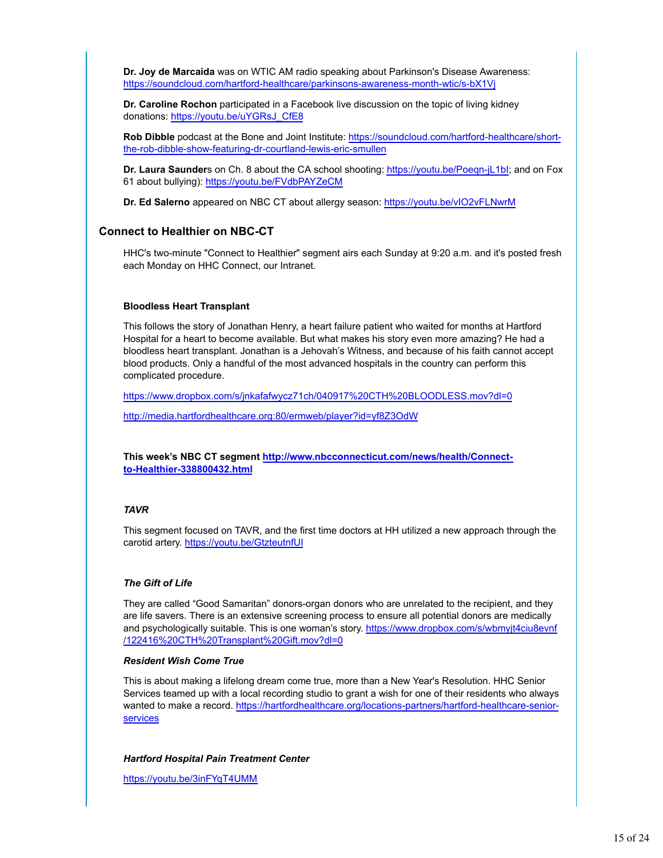**Dr. Joy de Marcaida** was on WTIC AM radio speaking about Parkinson's Disease Awareness: https://soundcloud.com/hartford-healthcare/parkinsons-awareness-month-wtic/s-bX1Vj

**Dr. Caroline Rochon** participated in a Facebook live discussion on the topic of living kidney donations: https://youtu.be/uYGRsJ\_CfE8

**Rob Dibble** podcast at the Bone and Joint Institute: https://soundcloud.com/hartford-healthcare/shortthe-rob-dibble-show-featuring-dr-courtland-lewis-eric-smullen

**Dr. Laura Saunder**s on Ch. 8 about the CA school shooting: https://youtu.be/Poeqn-jL1bI; and on Fox 61 about bullying): https://youtu.be/FVdbPAYZeCM

**Dr. Ed Salerno** appeared on NBC CT about allergy season: https://youtu.be/vIO2vFLNwrM

### **Connect to Healthier on NBC-CT**

HHC's two-minute "Connect to Healthier" segment airs each Sunday at 9:20 a.m. and it's posted fresh each Monday on HHC Connect, our Intranet.

#### **Bloodless Heart Transplant**

This follows the story of Jonathan Henry, a heart failure patient who waited for months at Hartford Hospital for a heart to become available. But what makes his story even more amazing? He had a bloodless heart transplant. Jonathan is a Jehovah's Witness, and because of his faith cannot accept blood products. Only a handful of the most advanced hospitals in the country can perform this complicated procedure.

https://www.dropbox.com/s/jnkafafwycz71ch/040917%20CTH%20BLOODLESS.mov?dl=0

http://media.hartfordhealthcare.org:80/ermweb/player?id=yf8Z3OdW

**This week's NBC CT segment http://www.nbcconnecticut.com/news/health/Connectto-Healthier-338800432.html**

### *TAVR*

This segment focused on TAVR, and the first time doctors at HH utilized a new approach through the carotid artery. https://youtu.be/GtzteutnfUI

### *The Gift of Life*

They are called "Good Samaritan" donors-organ donors who are unrelated to the recipient, and they are life savers. There is an extensive screening process to ensure all potential donors are medically and psychologically suitable. This is one woman's story. https://www.dropbox.com/s/wbmyjt4ciu8evnf /122416%20CTH%20Transplant%20Gift.mov?dl=0

### *Resident Wish Come True*

This is about making a lifelong dream come true, more than a New Year's Resolution. HHC Senior Services teamed up with a local recording studio to grant a wish for one of their residents who always wanted to make a record. https://hartfordhealthcare.org/locations-partners/hartford-healthcare-seniorservices

### *Hartford Hospital Pain Treatment Center*

https://youtu.be/3inFYqT4UMM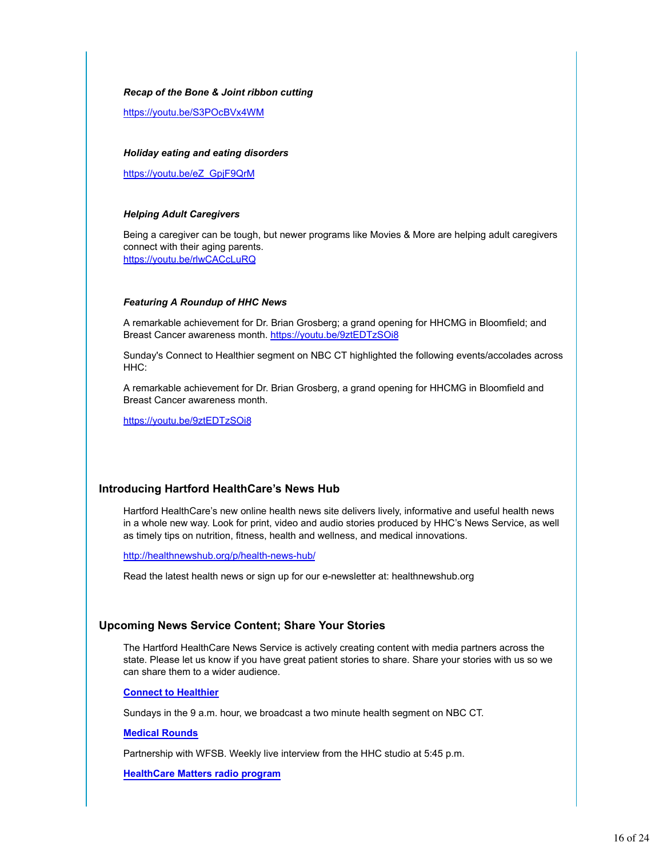#### *Recap of the Bone & Joint ribbon cutting*

https://youtu.be/S3POcBVx4WM

#### *Holiday eating and eating disorders*

https://youtu.be/eZ\_GpjF9QrM

#### *Helping Adult Caregivers*

Being a caregiver can be tough, but newer programs like Movies & More are helping adult caregivers connect with their aging parents. https://youtu.be/rlwCACcLuRQ

#### *Featuring A Roundup of HHC News*

A remarkable achievement for Dr. Brian Grosberg; a grand opening for HHCMG in Bloomfield; and Breast Cancer awareness month. https://youtu.be/9ztEDTzSOi8

Sunday's Connect to Healthier segment on NBC CT highlighted the following events/accolades across HHC:

A remarkable achievement for Dr. Brian Grosberg, a grand opening for HHCMG in Bloomfield and Breast Cancer awareness month.

https://youtu.be/9ztEDTzSOi8

### **Introducing Hartford HealthCare's News Hub**

Hartford HealthCare's new online health news site delivers lively, informative and useful health news in a whole new way. Look for print, video and audio stories produced by HHC's News Service, as well as timely tips on nutrition, fitness, health and wellness, and medical innovations.

http://healthnewshub.org/p/health-news-hub/

Read the latest health news or sign up for our e-newsletter at: healthnewshub.org

### **Upcoming News Service Content; Share Your Stories**

The Hartford HealthCare News Service is actively creating content with media partners across the state. Please let us know if you have great patient stories to share. Share your stories with us so we can share them to a wider audience.

### **Connect to Healthier**

Sundays in the 9 a.m. hour, we broadcast a two minute health segment on NBC CT.

**Medical Rounds**

Partnership with WFSB. Weekly live interview from the HHC studio at 5:45 p.m.

**HealthCare Matters radio program**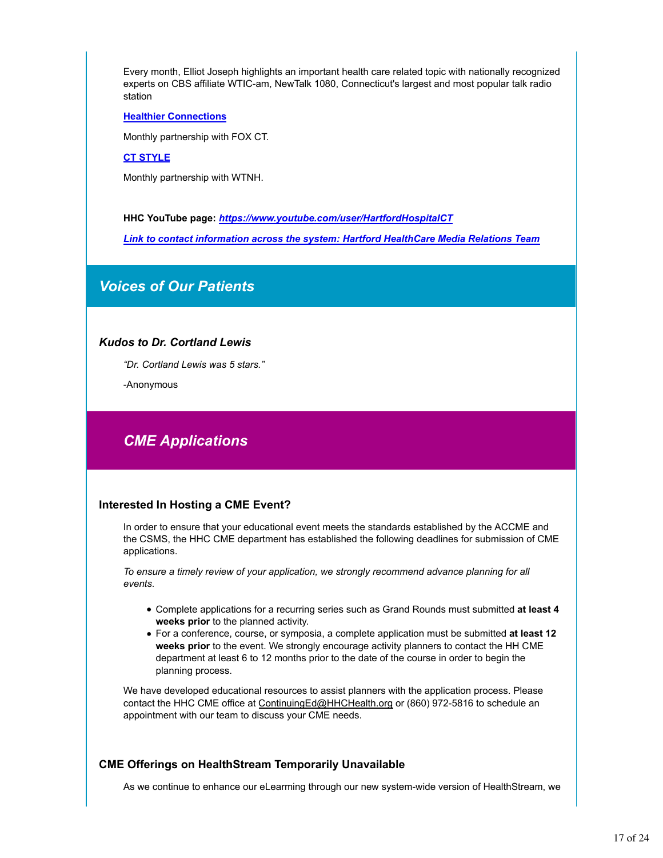Every month, Elliot Joseph highlights an important health care related topic with nationally recognized experts on CBS affiliate WTIC-am, NewTalk 1080, Connecticut's largest and most popular talk radio station

### **Healthier Connections**

Monthly partnership with FOX CT.

### **CT STYLE**

Monthly partnership with WTNH.

**HHC YouTube page:** *https://www.youtube.com/user/HartfordHospitalCT Link to contact information across the system: Hartford HealthCare Media Relations Team*

# *Voices of Our Patients*

### *Kudos to Dr. Cortland Lewis*

*"Dr. Cortland Lewis was 5 stars."*

-Anonymous

# *CME Applications*

### **Interested In Hosting a CME Event?**

In order to ensure that your educational event meets the standards established by the ACCME and the CSMS, the HHC CME department has established the following deadlines for submission of CME applications.

*To ensure a timely review of your application, we strongly recommend advance planning for all events.* 

- Complete applications for a recurring series such as Grand Rounds must submitted **at least 4 weeks prior** to the planned activity.
- For a conference, course, or symposia, a complete application must be submitted **at least 12 weeks prior** to the event. We strongly encourage activity planners to contact the HH CME department at least 6 to 12 months prior to the date of the course in order to begin the planning process.

We have developed educational resources to assist planners with the application process. Please contact the HHC CME office at ContinuingEd@HHCHealth.org or (860) 972-5816 to schedule an appointment with our team to discuss your CME needs.

# **CME Offerings on HealthStream Temporarily Unavailable**

As we continue to enhance our eLearming through our new system-wide version of HealthStream, we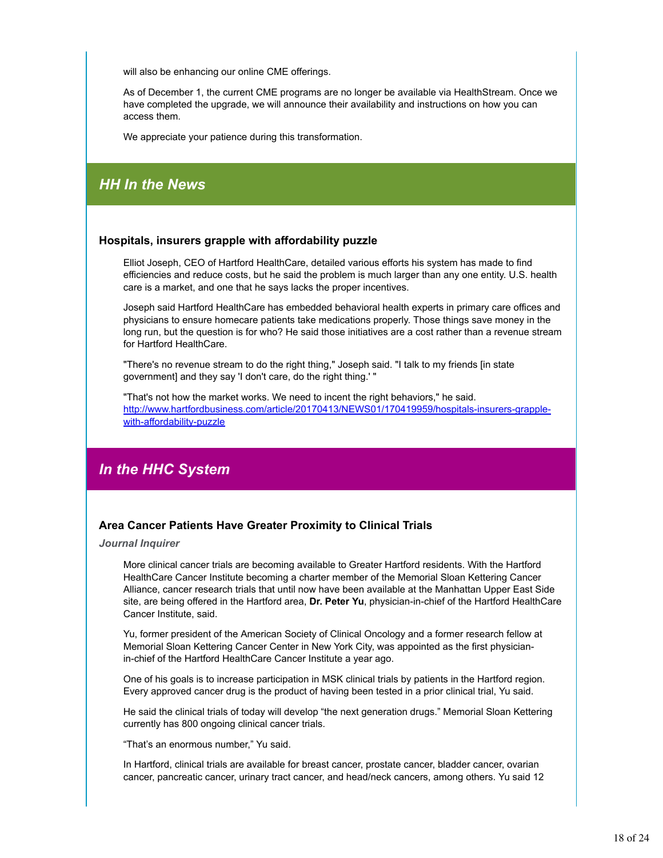will also be enhancing our online CME offerings.

As of December 1, the current CME programs are no longer be available via HealthStream. Once we have completed the upgrade, we will announce their availability and instructions on how you can access them.

We appreciate your patience during this transformation.

# *HH In the News*

### **Hospitals, insurers grapple with affordability puzzle**

Elliot Joseph, CEO of Hartford HealthCare, detailed various efforts his system has made to find efficiencies and reduce costs, but he said the problem is much larger than any one entity. U.S. health care is a market, and one that he says lacks the proper incentives.

Joseph said Hartford HealthCare has embedded behavioral health experts in primary care offices and physicians to ensure homecare patients take medications properly. Those things save money in the long run, but the question is for who? He said those initiatives are a cost rather than a revenue stream for Hartford HealthCare.

"There's no revenue stream to do the right thing," Joseph said. "I talk to my friends [in state government] and they say 'I don't care, do the right thing.' "

"That's not how the market works. We need to incent the right behaviors," he said. http://www.hartfordbusiness.com/article/20170413/NEWS01/170419959/hospitals-insurers-grapplewith-affordability-puzzle

# *In the HHC System*

### **Area Cancer Patients Have Greater Proximity to Clinical Trials**

*Journal Inquirer*

More clinical cancer trials are becoming available to Greater Hartford residents. With the Hartford HealthCare Cancer Institute becoming a charter member of the Memorial Sloan Kettering Cancer Alliance, cancer research trials that until now have been available at the Manhattan Upper East Side site, are being offered in the Hartford area, **Dr. Peter Yu**, physician-in-chief of the Hartford HealthCare Cancer Institute, said.

Yu, former president of the American Society of Clinical Oncology and a former research fellow at Memorial Sloan Kettering Cancer Center in New York City, was appointed as the first physicianin-chief of the Hartford HealthCare Cancer Institute a year ago.

One of his goals is to increase participation in MSK clinical trials by patients in the Hartford region. Every approved cancer drug is the product of having been tested in a prior clinical trial, Yu said.

He said the clinical trials of today will develop "the next generation drugs." Memorial Sloan Kettering currently has 800 ongoing clinical cancer trials.

"That's an enormous number," Yu said.

In Hartford, clinical trials are available for breast cancer, prostate cancer, bladder cancer, ovarian cancer, pancreatic cancer, urinary tract cancer, and head/neck cancers, among others. Yu said 12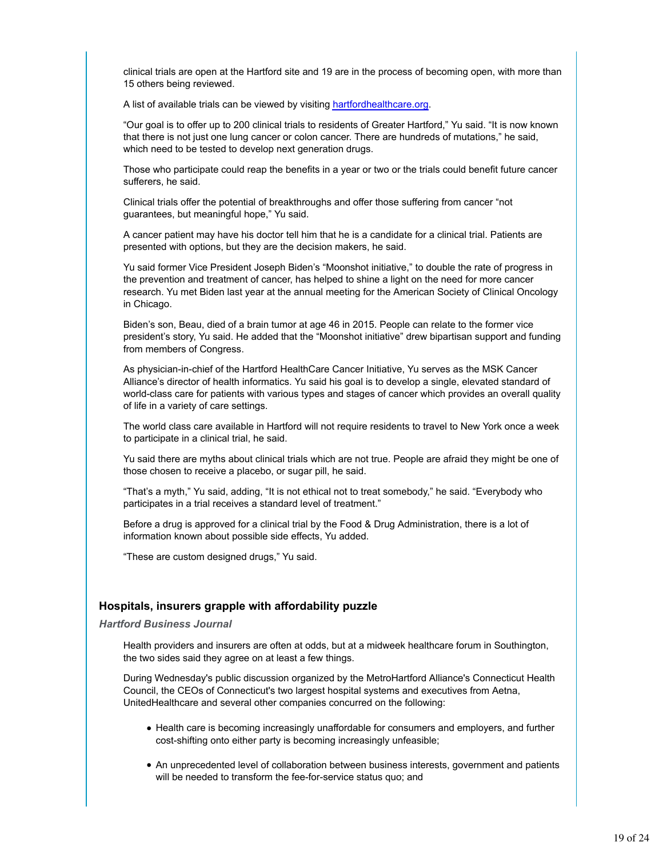clinical trials are open at the Hartford site and 19 are in the process of becoming open, with more than 15 others being reviewed.

A list of available trials can be viewed by visiting hartfordhealthcare.org.

"Our goal is to offer up to 200 clinical trials to residents of Greater Hartford," Yu said. "It is now known that there is not just one lung cancer or colon cancer. There are hundreds of mutations," he said, which need to be tested to develop next generation drugs.

Those who participate could reap the benefits in a year or two or the trials could benefit future cancer sufferers, he said.

Clinical trials offer the potential of breakthroughs and offer those suffering from cancer "not guarantees, but meaningful hope," Yu said.

A cancer patient may have his doctor tell him that he is a candidate for a clinical trial. Patients are presented with options, but they are the decision makers, he said.

Yu said former Vice President Joseph Biden's "Moonshot initiative," to double the rate of progress in the prevention and treatment of cancer, has helped to shine a light on the need for more cancer research. Yu met Biden last year at the annual meeting for the American Society of Clinical Oncology in Chicago.

Biden's son, Beau, died of a brain tumor at age 46 in 2015. People can relate to the former vice president's story, Yu said. He added that the "Moonshot initiative" drew bipartisan support and funding from members of Congress.

As physician-in-chief of the Hartford HealthCare Cancer Initiative, Yu serves as the MSK Cancer Alliance's director of health informatics. Yu said his goal is to develop a single, elevated standard of world-class care for patients with various types and stages of cancer which provides an overall quality of life in a variety of care settings.

The world class care available in Hartford will not require residents to travel to New York once a week to participate in a clinical trial, he said.

Yu said there are myths about clinical trials which are not true. People are afraid they might be one of those chosen to receive a placebo, or sugar pill, he said.

"That's a myth," Yu said, adding, "It is not ethical not to treat somebody," he said. "Everybody who participates in a trial receives a standard level of treatment."

Before a drug is approved for a clinical trial by the Food & Drug Administration, there is a lot of information known about possible side effects, Yu added.

"These are custom designed drugs," Yu said.

### **Hospitals, insurers grapple with affordability puzzle**

*Hartford Business Journal*

Health providers and insurers are often at odds, but at a midweek healthcare forum in Southington, the two sides said they agree on at least a few things.

During Wednesday's public discussion organized by the MetroHartford Alliance's Connecticut Health Council, the CEOs of Connecticut's two largest hospital systems and executives from Aetna, UnitedHealthcare and several other companies concurred on the following:

- Health care is becoming increasingly unaffordable for consumers and employers, and further cost-shifting onto either party is becoming increasingly unfeasible;
- An unprecedented level of collaboration between business interests, government and patients will be needed to transform the fee-for-service status quo; and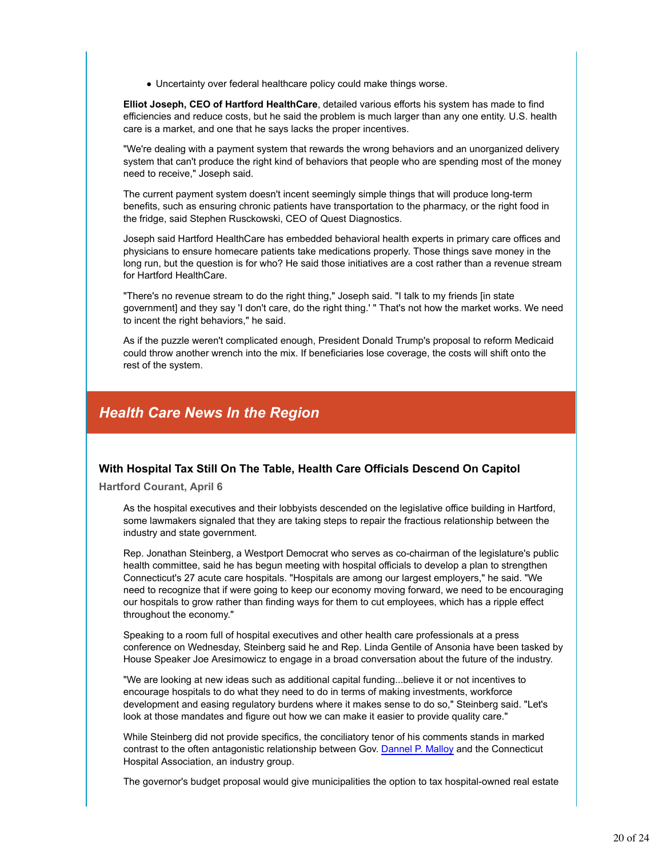Uncertainty over federal healthcare policy could make things worse.

**Elliot Joseph, CEO of Hartford HealthCare**, detailed various efforts his system has made to find efficiencies and reduce costs, but he said the problem is much larger than any one entity. U.S. health care is a market, and one that he says lacks the proper incentives.

"We're dealing with a payment system that rewards the wrong behaviors and an unorganized delivery system that can't produce the right kind of behaviors that people who are spending most of the money need to receive," Joseph said.

The current payment system doesn't incent seemingly simple things that will produce long-term benefits, such as ensuring chronic patients have transportation to the pharmacy, or the right food in the fridge, said Stephen Rusckowski, CEO of Quest Diagnostics.

Joseph said Hartford HealthCare has embedded behavioral health experts in primary care offices and physicians to ensure homecare patients take medications properly. Those things save money in the long run, but the question is for who? He said those initiatives are a cost rather than a revenue stream for Hartford HealthCare.

"There's no revenue stream to do the right thing," Joseph said. "I talk to my friends [in state government] and they say 'I don't care, do the right thing.' " That's not how the market works. We need to incent the right behaviors," he said.

As if the puzzle weren't complicated enough, President Donald Trump's proposal to reform Medicaid could throw another wrench into the mix. If beneficiaries lose coverage, the costs will shift onto the rest of the system.

# *Health Care News In the Region*

# **With Hospital Tax Still On The Table, Health Care Officials Descend On Capitol**

**Hartford Courant, April 6**

As the hospital executives and their lobbyists descended on the legislative office building in Hartford, some lawmakers signaled that they are taking steps to repair the fractious relationship between the industry and state government.

Rep. Jonathan Steinberg, a Westport Democrat who serves as co-chairman of the legislature's public health committee, said he has begun meeting with hospital officials to develop a plan to strengthen Connecticut's 27 acute care hospitals. "Hospitals are among our largest employers," he said. "We need to recognize that if were going to keep our economy moving forward, we need to be encouraging our hospitals to grow rather than finding ways for them to cut employees, which has a ripple effect throughout the economy."

Speaking to a room full of hospital executives and other health care professionals at a press conference on Wednesday, Steinberg said he and Rep. Linda Gentile of Ansonia have been tasked by House Speaker Joe Aresimowicz to engage in a broad conversation about the future of the industry.

"We are looking at new ideas such as additional capital funding...believe it or not incentives to encourage hospitals to do what they need to do in terms of making investments, workforce development and easing regulatory burdens where it makes sense to do so," Steinberg said. "Let's look at those mandates and figure out how we can make it easier to provide quality care."

While Steinberg did not provide specifics, the conciliatory tenor of his comments stands in marked contrast to the often antagonistic relationship between Gov. Dannel P. Malloy and the Connecticut Hospital Association, an industry group.

The governor's budget proposal would give municipalities the option to tax hospital-owned real estate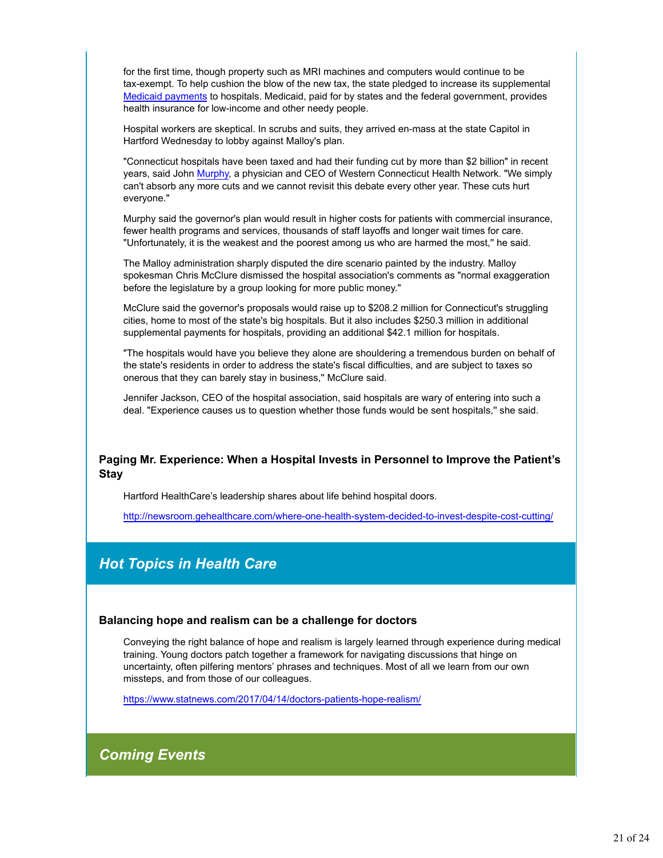for the first time, though property such as MRI machines and computers would continue to be tax-exempt. To help cushion the blow of the new tax, the state pledged to increase its supplemental Medicaid payments to hospitals. Medicaid, paid for by states and the federal government, provides health insurance for low-income and other needy people.

Hospital workers are skeptical. In scrubs and suits, they arrived en-mass at the state Capitol in Hartford Wednesday to lobby against Malloy's plan.

"Connecticut hospitals have been taxed and had their funding cut by more than \$2 billion" in recent years, said John Murphy, a physician and CEO of Western Connecticut Health Network. "We simply can't absorb any more cuts and we cannot revisit this debate every other year. These cuts hurt everyone."

Murphy said the governor's plan would result in higher costs for patients with commercial insurance, fewer health programs and services, thousands of staff layoffs and longer wait times for care. "Unfortunately, it is the weakest and the poorest among us who are harmed the most,'' he said.

The Malloy administration sharply disputed the dire scenario painted by the industry. Malloy spokesman Chris McClure dismissed the hospital association's comments as "normal exaggeration before the legislature by a group looking for more public money."

McClure said the governor's proposals would raise up to \$208.2 million for Connecticut's struggling cities, home to most of the state's big hospitals. But it also includes \$250.3 million in additional supplemental payments for hospitals, providing an additional \$42.1 million for hospitals.

"The hospitals would have you believe they alone are shouldering a tremendous burden on behalf of the state's residents in order to address the state's fiscal difficulties, and are subject to taxes so onerous that they can barely stay in business,'' McClure said.

Jennifer Jackson, CEO of the hospital association, said hospitals are wary of entering into such a deal. "Experience causes us to question whether those funds would be sent hospitals,'' she said.

### **Paging Mr. Experience: When a Hospital Invests in Personnel to Improve the Patient's Stay**

Hartford HealthCare's leadership shares about life behind hospital doors.

http://newsroom.gehealthcare.com/where-one-health-system-decided-to-invest-despite-cost-cutting/

# *Hot Topics in Health Care*

### **Balancing hope and realism can be a challenge for doctors**

Conveying the right balance of hope and realism is largely learned through experience during medical training. Young doctors patch together a framework for navigating discussions that hinge on uncertainty, often pilfering mentors' phrases and techniques. Most of all we learn from our own missteps, and from those of our colleagues.

https://www.statnews.com/2017/04/14/doctors-patients-hope-realism/

*Coming Events*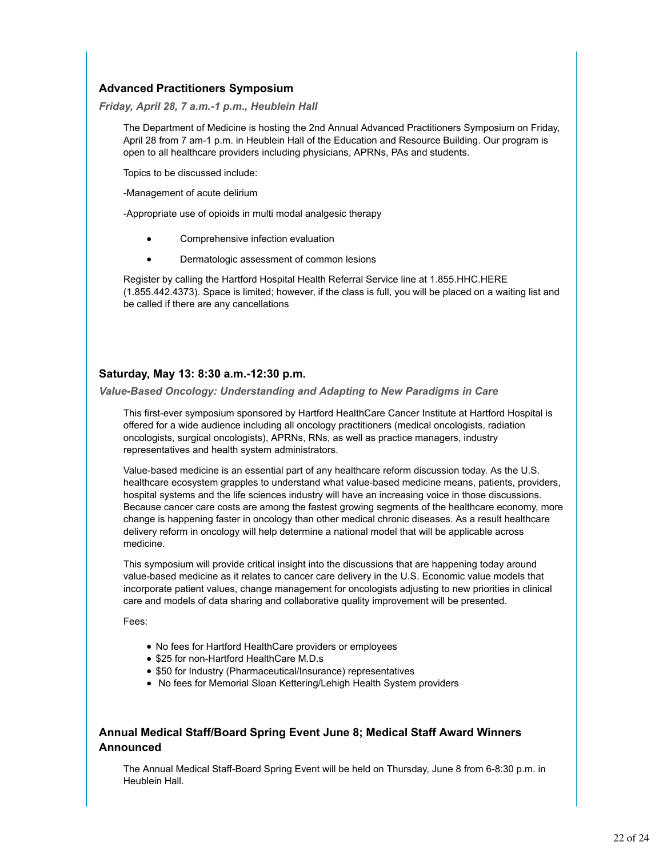# **Advanced Practitioners Symposium**

*Friday, April 28, 7 a.m.-1 p.m., Heublein Hall*

The Department of Medicine is hosting the 2nd Annual Advanced Practitioners Symposium on Friday, April 28 from 7 am-1 p.m. in Heublein Hall of the Education and Resource Building. Our program is open to all healthcare providers including physicians, APRNs, PAs and students.

Topics to be discussed include:

-Management of acute delirium

-Appropriate use of opioids in multi modal analgesic therapy

- Comprehensive infection evaluation  $\bullet$
- $\bullet$ Dermatologic assessment of common lesions

Register by calling the Hartford Hospital Health Referral Service line at 1.855.HHC.HERE (1.855.442.4373). Space is limited; however, if the class is full, you will be placed on a waiting list and be called if there are any cancellations

# **Saturday, May 13: 8:30 a.m.-12:30 p.m.**

*Value-Based Oncology: Understanding and Adapting to New Paradigms in Care*

This first-ever symposium sponsored by Hartford HealthCare Cancer Institute at Hartford Hospital is offered for a wide audience including all oncology practitioners (medical oncologists, radiation oncologists, surgical oncologists), APRNs, RNs, as well as practice managers, industry representatives and health system administrators.

Value-based medicine is an essential part of any healthcare reform discussion today. As the U.S. healthcare ecosystem grapples to understand what value-based medicine means, patients, providers, hospital systems and the life sciences industry will have an increasing voice in those discussions. Because cancer care costs are among the fastest growing segments of the healthcare economy, more change is happening faster in oncology than other medical chronic diseases. As a result healthcare delivery reform in oncology will help determine a national model that will be applicable across medicine.

This symposium will provide critical insight into the discussions that are happening today around value-based medicine as it relates to cancer care delivery in the U.S. Economic value models that incorporate patient values, change management for oncologists adjusting to new priorities in clinical care and models of data sharing and collaborative quality improvement will be presented.

Fees:

- No fees for Hartford HealthCare providers or employees
- \$25 for non-Hartford HealthCare M.D.s
- \$50 for Industry (Pharmaceutical/Insurance) representatives
- No fees for Memorial Sloan Kettering/Lehigh Health System providers

# **Annual Medical Staff/Board Spring Event June 8; Medical Staff Award Winners Announced**

The Annual Medical Staff-Board Spring Event will be held on Thursday, June 8 from 6-8:30 p.m. in Heublein Hall.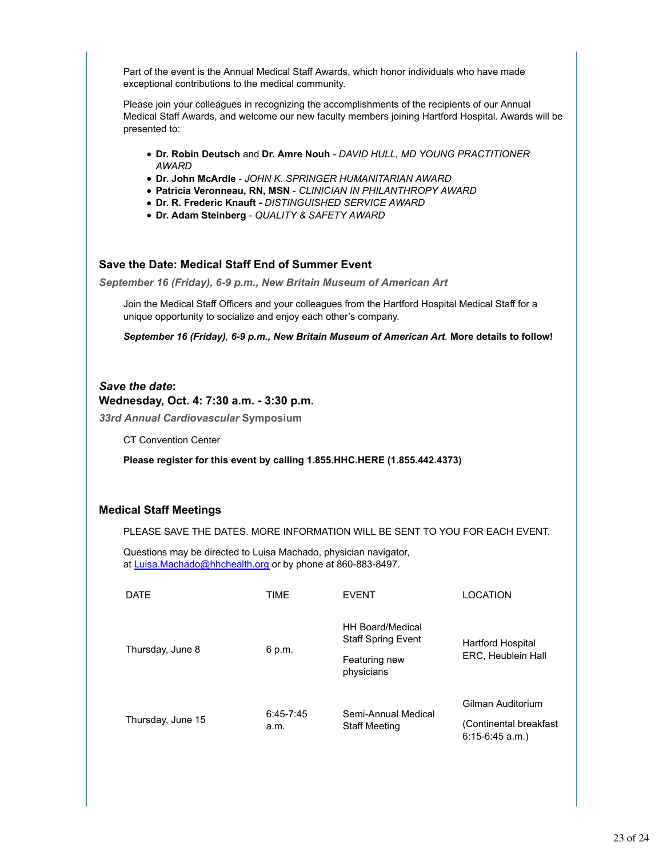Part of the event is the Annual Medical Staff Awards, which honor individuals who have made exceptional contributions to the medical community.

Please join your colleagues in recognizing the accomplishments of the recipients of our Annual Medical Staff Awards, and welcome our new faculty members joining Hartford Hospital. Awards will be presented to:

- **Dr. Robin Deutsch** and **Dr. Amre Nouh** *DAVID HULL, MD YOUNG PRACTITIONER AWARD*
- **Dr. John McArdle** *JOHN K. SPRINGER HUMANITARIAN AWARD*
- **Patricia Veronneau, RN, MSN** *CLINICIAN IN PHILANTHROPY AWARD*
- **Dr. R. Frederic Knauft** *DISTINGUISHED SERVICE AWARD*
- **Dr. Adam Steinberg** *QUALITY & SAFETY AWARD*

# **Save the Date: Medical Staff End of Summer Event**

*September 16 (Friday), 6-9 p.m., New Britain Museum of American Art*

Join the Medical Staff Officers and your colleagues from the Hartford Hospital Medical Staff for a unique opportunity to socialize and enjoy each other's company.

*September 16 (Friday), 6-9 p.m., New Britain Museum of American Art.* **More details to follow!**

### *Save the date***:**

### **Wednesday, Oct. 4: 7:30 a.m. - 3:30 p.m.**

*33rd Annual Cardiovascular* **Symposium**

CT Convention Center

### **Please register for this event by calling 1.855.HHC.HERE (1.855.442.4373)**

### **Medical Staff Meetings**

PLEASE SAVE THE DATES. MORE INFORMATION WILL BE SENT TO YOU FOR EACH EVENT.

Questions may be directed to Luisa Machado, physician navigator, at Luisa.Machado@hhchealth.org or by phone at 860-883-8497.

| <b>DATE</b>       | TIME                  | <b>EVENT</b>                                         | LOCATION                                       |
|-------------------|-----------------------|------------------------------------------------------|------------------------------------------------|
| Thursday, June 8  | 6 p.m.                | <b>HH Board/Medical</b><br><b>Staff Spring Event</b> | <b>Hartford Hospital</b><br>ERC, Heublein Hall |
|                   |                       | Featuring new<br>physicians                          |                                                |
| Thursday, June 15 | $6:45 - 7:45$<br>a.m. | Semi-Annual Medical<br><b>Staff Meeting</b>          | Gilman Auditorium                              |
|                   |                       |                                                      | (Continental breakfast<br>$6:15-6:45$ a.m.)    |